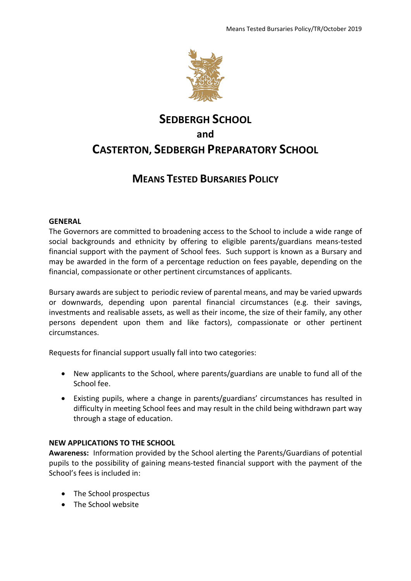

# **SEDBERGH SCHOOL and CASTERTON, SEDBERGH PREPARATORY SCHOOL**

# **MEANS TESTED BURSARIES POLICY**

# **GENERAL**

The Governors are committed to broadening access to the School to include a wide range of social backgrounds and ethnicity by offering to eligible parents/guardians means-tested financial support with the payment of School fees. Such support is known as a Bursary and may be awarded in the form of a percentage reduction on fees payable, depending on the financial, compassionate or other pertinent circumstances of applicants.

Bursary awards are subject to periodic review of parental means, and may be varied upwards or downwards, depending upon parental financial circumstances (e.g. their savings, investments and realisable assets, as well as their income, the size of their family, any other persons dependent upon them and like factors), compassionate or other pertinent circumstances.

Requests for financial support usually fall into two categories:

- New applicants to the School, where parents/guardians are unable to fund all of the School fee.
- Existing pupils, where a change in parents/guardians' circumstances has resulted in difficulty in meeting School fees and may result in the child being withdrawn part way through a stage of education.

# **NEW APPLICATIONS TO THE SCHOOL**

**Awareness:** Information provided by the School alerting the Parents/Guardians of potential pupils to the possibility of gaining means-tested financial support with the payment of the School's fees is included in:

- The School prospectus
- The School website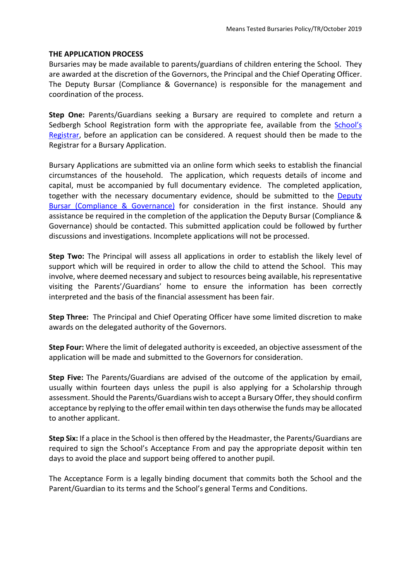#### **THE APPLICATION PROCESS**

Bursaries may be made available to parents/guardians of children entering the School. They are awarded at the discretion of the Governors, the Principal and the Chief Operating Officer. The Deputy Bursar (Compliance & Governance) is responsible for the management and coordination of the process.

**Step One:** Parents/Guardians seeking a Bursary are required to complete and return a Sedbergh School Registration form with the appropriate fee, available from the School's [Registrar,](mailto:ajfe@sedberghschool.org) before an application can be considered. A request should then be made to the Registrar for a Bursary Application.

Bursary Applications are submitted via an online form which seeks to establish the financial circumstances of the household. The application, which requests details of income and capital, must be accompanied by full documentary evidence. The completed application, together with the necessary documentary evidence, should be submitted to the [Deputy](mailto:tr.bursary@sedberghschool.org)  [Bursar \(Compliance & Governance\)](mailto:tr.bursary@sedberghschool.org) for consideration in the first instance. Should any assistance be required in the completion of the application the Deputy Bursar (Compliance & Governance) should be contacted. This submitted application could be followed by further discussions and investigations. Incomplete applications will not be processed.

**Step Two:** The Principal will assess all applications in order to establish the likely level of support which will be required in order to allow the child to attend the School. This may involve, where deemed necessary and subject to resources being available, his representative visiting the Parents'/Guardians' home to ensure the information has been correctly interpreted and the basis of the financial assessment has been fair.

**Step Three:** The Principal and Chief Operating Officer have some limited discretion to make awards on the delegated authority of the Governors.

**Step Four:** Where the limit of delegated authority is exceeded, an objective assessment of the application will be made and submitted to the Governors for consideration.

**Step Five:** The Parents/Guardians are advised of the outcome of the application by email, usually within fourteen days unless the pupil is also applying for a Scholarship through assessment. Should the Parents/Guardians wish to accept a Bursary Offer, they should confirm acceptance by replying to the offer email within ten days otherwise the funds may be allocated to another applicant.

**Step Six:** If a place in the School is then offered by the Headmaster, the Parents/Guardians are required to sign the School's Acceptance From and pay the appropriate deposit within ten days to avoid the place and support being offered to another pupil.

The Acceptance Form is a legally binding document that commits both the School and the Parent/Guardian to its terms and the School's general Terms and Conditions.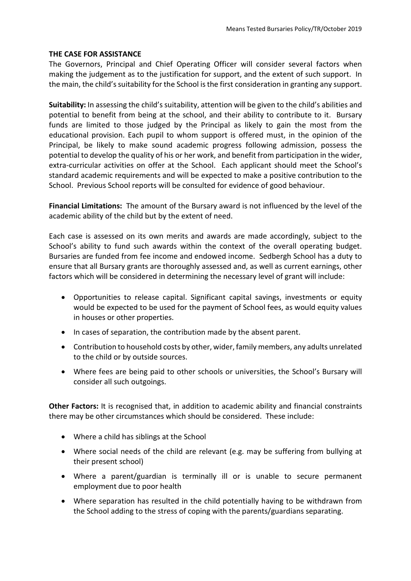#### **THE CASE FOR ASSISTANCE**

The Governors, Principal and Chief Operating Officer will consider several factors when making the judgement as to the justification for support, and the extent of such support. In the main, the child's suitability for the School is the first consideration in granting any support.

**Suitability:** In assessing the child's suitability, attention will be given to the child's abilities and potential to benefit from being at the school, and their ability to contribute to it. Bursary funds are limited to those judged by the Principal as likely to gain the most from the educational provision. Each pupil to whom support is offered must, in the opinion of the Principal, be likely to make sound academic progress following admission, possess the potential to develop the quality of his or her work, and benefit from participation in the wider, extra-curricular activities on offer at the School. Each applicant should meet the School's standard academic requirements and will be expected to make a positive contribution to the School. Previous School reports will be consulted for evidence of good behaviour.

**Financial Limitations:** The amount of the Bursary award is not influenced by the level of the academic ability of the child but by the extent of need.

Each case is assessed on its own merits and awards are made accordingly, subject to the School's ability to fund such awards within the context of the overall operating budget. Bursaries are funded from fee income and endowed income. Sedbergh School has a duty to ensure that all Bursary grants are thoroughly assessed and, as well as current earnings, other factors which will be considered in determining the necessary level of grant will include:

- Opportunities to release capital. Significant capital savings, investments or equity would be expected to be used for the payment of School fees, as would equity values in houses or other properties.
- In cases of separation, the contribution made by the absent parent.
- Contribution to household costs by other, wider, family members, any adults unrelated to the child or by outside sources.
- Where fees are being paid to other schools or universities, the School's Bursary will consider all such outgoings.

**Other Factors:** It is recognised that, in addition to academic ability and financial constraints there may be other circumstances which should be considered. These include:

- Where a child has siblings at the School
- Where social needs of the child are relevant (e.g. may be suffering from bullying at their present school)
- Where a parent/guardian is terminally ill or is unable to secure permanent employment due to poor health
- Where separation has resulted in the child potentially having to be withdrawn from the School adding to the stress of coping with the parents/guardians separating.